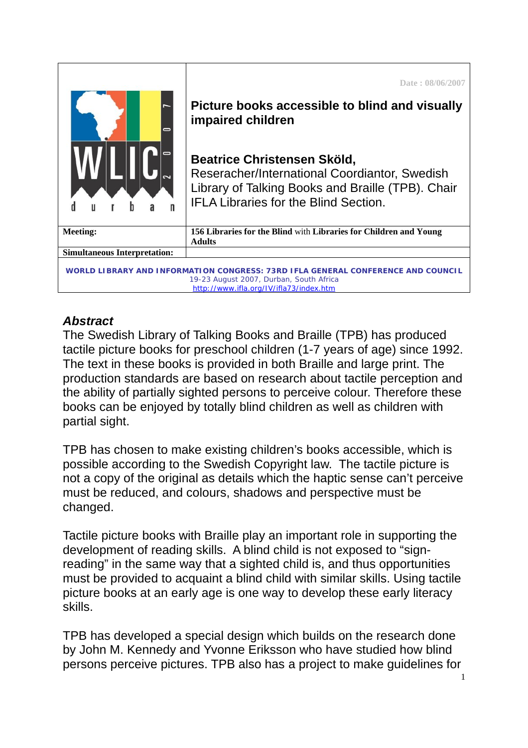| <b>Simultaneous Interpretation:</b><br>WORLD LIBRARY AND INFORMATION CONGRESS: 73RD IFLA GENERAL CONFERENCE AND COUNCIL<br>19-23 August 2007, Durban, South Africa<br>http://www.ifla.org/IV/ifla73/index.htm |                                                                                                                                                                                                                                                          |
|---------------------------------------------------------------------------------------------------------------------------------------------------------------------------------------------------------------|----------------------------------------------------------------------------------------------------------------------------------------------------------------------------------------------------------------------------------------------------------|
| <b>Meeting:</b>                                                                                                                                                                                               | 156 Libraries for the Blind with Libraries for Children and Young<br><b>Adults</b>                                                                                                                                                                       |
|                                                                                                                                                                                                               | Picture books accessible to blind and visually<br>impaired children<br>Beatrice Christensen Sköld,<br>Reseracher/International Coordiantor, Swedish<br>Library of Talking Books and Braille (TPB). Chair<br><b>IFLA Libraries for the Blind Section.</b> |
|                                                                                                                                                                                                               | Date: 08/06/2007                                                                                                                                                                                                                                         |

## *Abstract*

The Swedish Library of Talking Books and Braille (TPB) has produced tactile picture books for preschool children (1-7 years of age) since 1992. The text in these books is provided in both Braille and large print. The production standards are based on research about tactile perception and the ability of partially sighted persons to perceive colour. Therefore these books can be enjoyed by totally blind children as well as children with partial sight.

TPB has chosen to make existing children's books accessible, which is possible according to the Swedish Copyright law. The tactile picture is not a copy of the original as details which the haptic sense can't perceive must be reduced, and colours, shadows and perspective must be changed.

Tactile picture books with Braille play an important role in supporting the development of reading skills. A blind child is not exposed to "signreading" in the same way that a sighted child is, and thus opportunities must be provided to acquaint a blind child with similar skills. Using tactile picture books at an early age is one way to develop these early literacy skills.

TPB has developed a special design which builds on the research done by John M. Kennedy and Yvonne Eriksson who have studied how blind persons perceive pictures. TPB also has a project to make guidelines for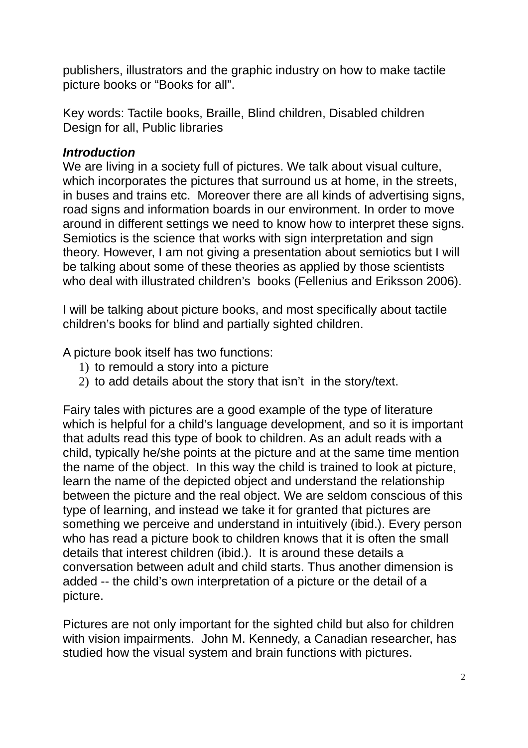publishers, illustrators and the graphic industry on how to make tactile picture books or "Books for all".

Key words: Tactile books, Braille, Blind children, Disabled children Design for all, Public libraries

## *Introduction*

We are living in a society full of pictures. We talk about visual culture, which incorporates the pictures that surround us at home, in the streets, in buses and trains etc. Moreover there are all kinds of advertising signs, road signs and information boards in our environment. In order to move around in different settings we need to know how to interpret these signs. Semiotics is the science that works with sign interpretation and sign theory. However, I am not giving a presentation about semiotics but I will be talking about some of these theories as applied by those scientists who deal with illustrated children's books (Fellenius and Eriksson 2006).

I will be talking about picture books, and most specifically about tactile children's books for blind and partially sighted children.

A picture book itself has two functions:

- 1) to remould a story into a picture
- 2) to add details about the story that isn't in the story/text.

Fairy tales with pictures are a good example of the type of literature which is helpful for a child's language development, and so it is important that adults read this type of book to children. As an adult reads with a child, typically he/she points at the picture and at the same time mention the name of the object. In this way the child is trained to look at picture, learn the name of the depicted object and understand the relationship between the picture and the real object. We are seldom conscious of this type of learning, and instead we take it for granted that pictures are something we perceive and understand in intuitively (ibid.). Every person who has read a picture book to children knows that it is often the small details that interest children (ibid.). It is around these details a conversation between adult and child starts. Thus another dimension is added -- the child's own interpretation of a picture or the detail of a picture.

Pictures are not only important for the sighted child but also for children with vision impairments. John M. Kennedy, a Canadian researcher, has studied how the visual system and brain functions with pictures.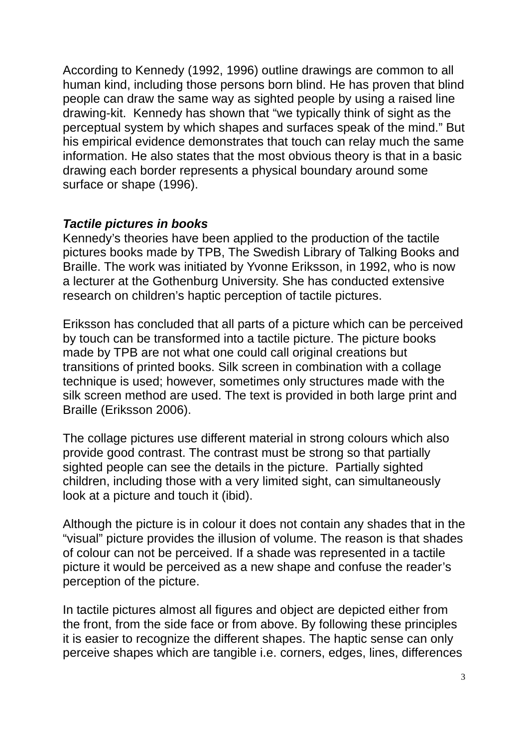According to Kennedy (1992, 1996) outline drawings are common to all human kind, including those persons born blind. He has proven that blind people can draw the same way as sighted people by using a raised line drawing-kit. Kennedy has shown that "we typically think of sight as the perceptual system by which shapes and surfaces speak of the mind." But his empirical evidence demonstrates that touch can relay much the same information. He also states that the most obvious theory is that in a basic drawing each border represents a physical boundary around some surface or shape (1996).

## *Tactile pictures in books*

Kennedy's theories have been applied to the production of the tactile pictures books made by TPB, The Swedish Library of Talking Books and Braille. The work was initiated by Yvonne Eriksson, in 1992, who is now a lecturer at the Gothenburg University. She has conducted extensive research on children's haptic perception of tactile pictures.

Eriksson has concluded that all parts of a picture which can be perceived by touch can be transformed into a tactile picture. The picture books made by TPB are not what one could call original creations but transitions of printed books. Silk screen in combination with a collage technique is used; however, sometimes only structures made with the silk screen method are used. The text is provided in both large print and Braille (Eriksson 2006).

The collage pictures use different material in strong colours which also provide good contrast. The contrast must be strong so that partially sighted people can see the details in the picture. Partially sighted children, including those with a very limited sight, can simultaneously look at a picture and touch it (ibid).

Although the picture is in colour it does not contain any shades that in the "visual" picture provides the illusion of volume. The reason is that shades of colour can not be perceived. If a shade was represented in a tactile picture it would be perceived as a new shape and confuse the reader's perception of the picture.

In tactile pictures almost all figures and object are depicted either from the front, from the side face or from above. By following these principles it is easier to recognize the different shapes. The haptic sense can only perceive shapes which are tangible i.e. corners, edges, lines, differences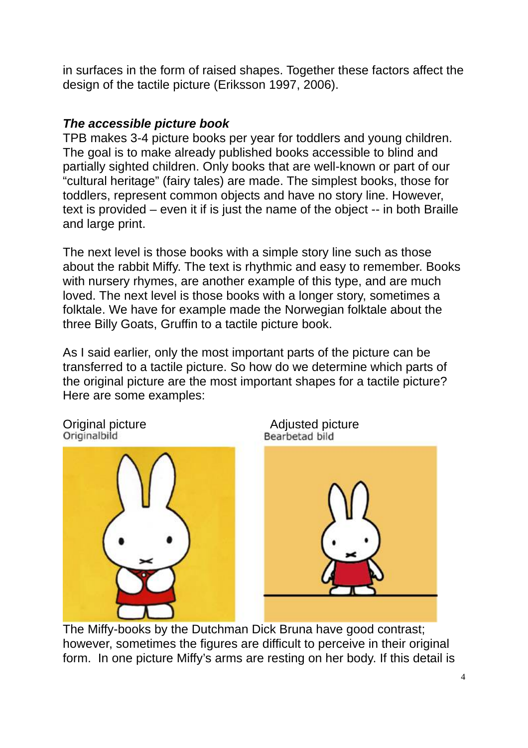in surfaces in the form of raised shapes. Together these factors affect the design of the tactile picture (Eriksson 1997, 2006).

## *The accessible picture book*

TPB makes 3-4 picture books per year for toddlers and young children. The goal is to make already published books accessible to blind and partially sighted children. Only books that are well-known or part of our "cultural heritage" (fairy tales) are made. The simplest books, those for toddlers, represent common objects and have no story line. However, text is provided – even it if is just the name of the object -- in both Braille and large print.

The next level is those books with a simple story line such as those about the rabbit Miffy. The text is rhythmic and easy to remember. Books with nursery rhymes, are another example of this type, and are much loved. The next level is those books with a longer story, sometimes a folktale. We have for example made the Norwegian folktale about the three Billy Goats, Gruffin to a tactile picture book.

As I said earlier, only the most important parts of the picture can be transferred to a tactile picture. So how do we determine which parts of the original picture are the most important shapes for a tactile picture? Here are some examples:







The Miffy-books by the Dutchman Dick Bruna have good contrast; however, sometimes the figures are difficult to perceive in their original form. In one picture Miffy's arms are resting on her body. If this detail is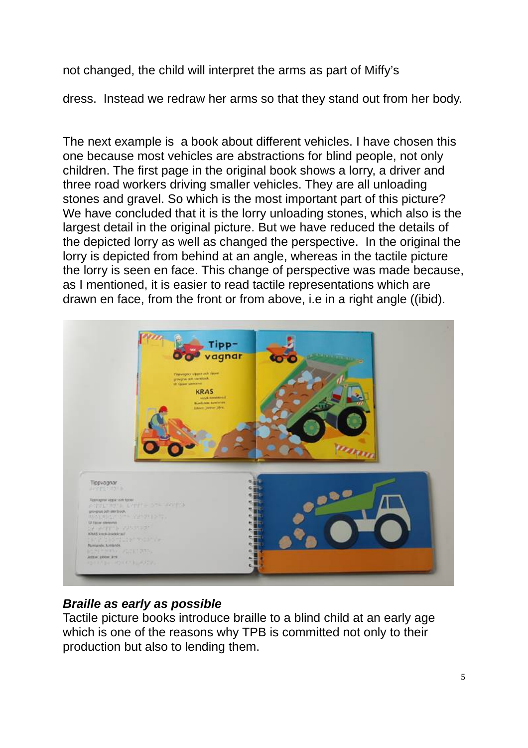not changed, the child will interpret the arms as part of Miffy's

dress. Instead we redraw her arms so that they stand out from her body.

The next example is a book about different vehicles. I have chosen this one because most vehicles are abstractions for blind people, not only children. The first page in the original book shows a lorry, a driver and three road workers driving smaller vehicles. They are all unloading stones and gravel. So which is the most important part of this picture? We have concluded that it is the lorry unloading stones, which also is the largest detail in the original picture. But we have reduced the details of the depicted lorry as well as changed the perspective. In the original the lorry is depicted from behind at an angle, whereas in the tactile picture the lorry is seen en face. This change of perspective was made because, as I mentioned, it is easier to read tactile representations which are drawn en face, from the front or from above, i.e in a right angle ((ibid).



# *Braille as early as possible*

Tactile picture books introduce braille to a blind child at an early age which is one of the reasons why TPB is committed not only to their production but also to lending them.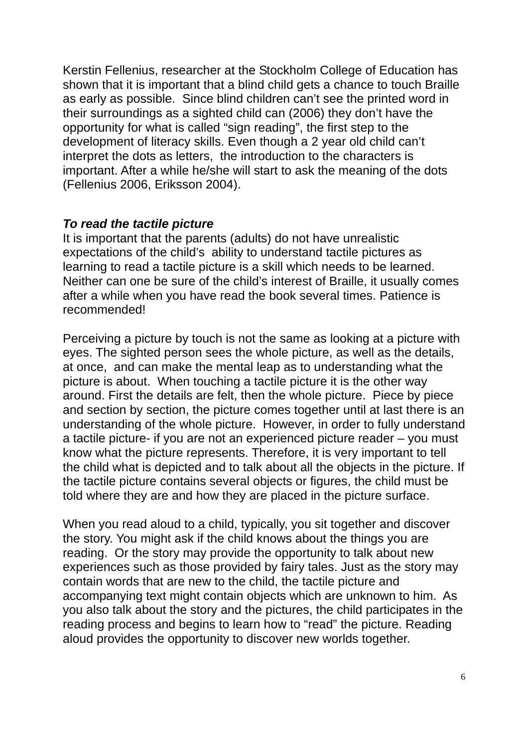Kerstin Fellenius, researcher at the Stockholm College of Education has shown that it is important that a blind child gets a chance to touch Braille as early as possible. Since blind children can't see the printed word in their surroundings as a sighted child can (2006) they don't have the opportunity for what is called "sign reading", the first step to the development of literacy skills. Even though a 2 year old child can't interpret the dots as letters, the introduction to the characters is important. After a while he/she will start to ask the meaning of the dots (Fellenius 2006, Eriksson 2004).

#### *To read the tactile picture*

It is important that the parents (adults) do not have unrealistic expectations of the child's ability to understand tactile pictures as learning to read a tactile picture is a skill which needs to be learned. Neither can one be sure of the child's interest of Braille, it usually comes after a while when you have read the book several times. Patience is recommended!

Perceiving a picture by touch is not the same as looking at a picture with eyes. The sighted person sees the whole picture, as well as the details, at once, and can make the mental leap as to understanding what the picture is about. When touching a tactile picture it is the other way around. First the details are felt, then the whole picture. Piece by piece and section by section, the picture comes together until at last there is an understanding of the whole picture. However, in order to fully understand a tactile picture- if you are not an experienced picture reader – you must know what the picture represents. Therefore, it is very important to tell the child what is depicted and to talk about all the objects in the picture. If the tactile picture contains several objects or figures, the child must be told where they are and how they are placed in the picture surface.

When you read aloud to a child, typically, you sit together and discover the story. You might ask if the child knows about the things you are reading. Or the story may provide the opportunity to talk about new experiences such as those provided by fairy tales. Just as the story may contain words that are new to the child, the tactile picture and accompanying text might contain objects which are unknown to him. As you also talk about the story and the pictures, the child participates in the reading process and begins to learn how to "read" the picture. Reading aloud provides the opportunity to discover new worlds together.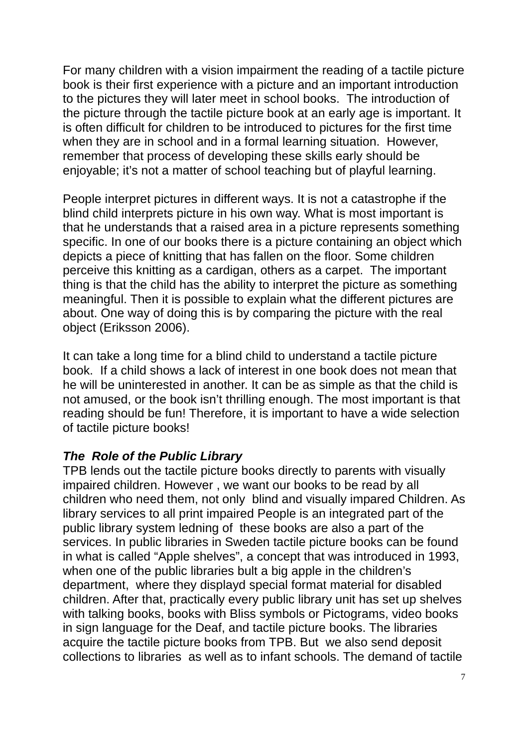For many children with a vision impairment the reading of a tactile picture book is their first experience with a picture and an important introduction to the pictures they will later meet in school books. The introduction of the picture through the tactile picture book at an early age is important. It is often difficult for children to be introduced to pictures for the first time when they are in school and in a formal learning situation. However, remember that process of developing these skills early should be enjoyable; it's not a matter of school teaching but of playful learning.

People interpret pictures in different ways. It is not a catastrophe if the blind child interprets picture in his own way. What is most important is that he understands that a raised area in a picture represents something specific. In one of our books there is a picture containing an object which depicts a piece of knitting that has fallen on the floor. Some children perceive this knitting as a cardigan, others as a carpet. The important thing is that the child has the ability to interpret the picture as something meaningful. Then it is possible to explain what the different pictures are about. One way of doing this is by comparing the picture with the real object (Eriksson 2006).

It can take a long time for a blind child to understand a tactile picture book. If a child shows a lack of interest in one book does not mean that he will be uninterested in another. It can be as simple as that the child is not amused, or the book isn't thrilling enough. The most important is that reading should be fun! Therefore, it is important to have a wide selection of tactile picture books!

## *The Role of the Public Library*

TPB lends out the tactile picture books directly to parents with visually impaired children. However , we want our books to be read by all children who need them, not only blind and visually impared Children. As library services to all print impaired People is an integrated part of the public library system ledning of these books are also a part of the services. In public libraries in Sweden tactile picture books can be found in what is called "Apple shelves", a concept that was introduced in 1993, when one of the public libraries bult a big apple in the children's department, where they displayd special format material for disabled children. After that, practically every public library unit has set up shelves with talking books, books with Bliss symbols or Pictograms, video books in sign language for the Deaf, and tactile picture books. The libraries acquire the tactile picture books from TPB. But we also send deposit collections to libraries as well as to infant schools. The demand of tactile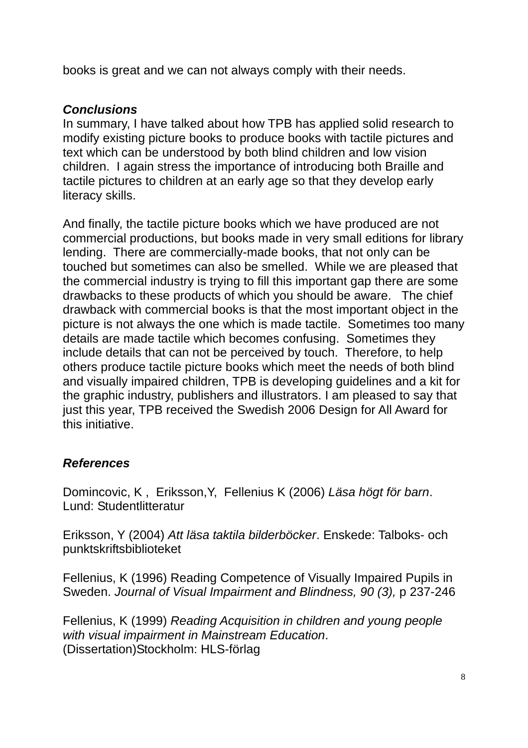books is great and we can not always comply with their needs.

## *Conclusions*

In summary, I have talked about how TPB has applied solid research to modify existing picture books to produce books with tactile pictures and text which can be understood by both blind children and low vision children. I again stress the importance of introducing both Braille and tactile pictures to children at an early age so that they develop early literacy skills.

And finally, the tactile picture books which we have produced are not commercial productions, but books made in very small editions for library lending. There are commercially-made books, that not only can be touched but sometimes can also be smelled. While we are pleased that the commercial industry is trying to fill this important gap there are some drawbacks to these products of which you should be aware. The chief drawback with commercial books is that the most important object in the picture is not always the one which is made tactile. Sometimes too many details are made tactile which becomes confusing. Sometimes they include details that can not be perceived by touch. Therefore, to help others produce tactile picture books which meet the needs of both blind and visually impaired children, TPB is developing guidelines and a kit for the graphic industry, publishers and illustrators. I am pleased to say that just this year, TPB received the Swedish 2006 Design for All Award for this initiative.

# *References*

Domincovic, K , Eriksson,Y, Fellenius K (2006) *Läsa högt för barn*. Lund: Studentlitteratur

Eriksson, Y (2004) *Att läsa taktila bilderböcker*. Enskede: Talboks- och punktskriftsbiblioteket

Fellenius, K (1996) Reading Competence of Visually Impaired Pupils in Sweden. *Journal of Visual Impairment and Blindness, 90 (3),* p 237-246

Fellenius, K (1999) *Reading Acquisition in children and young people with visual impairment in Mainstream Education*. (Dissertation)Stockholm: HLS-förlag